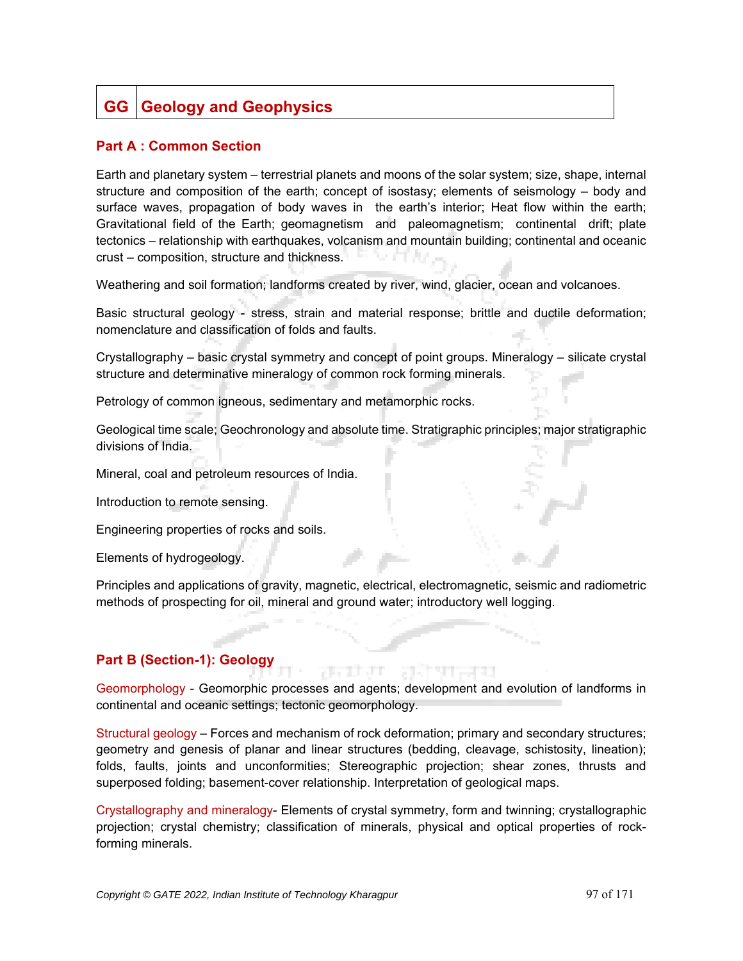## **GG** Geology and Geophysics

## **Part A : Common Section**

Earth and planetary system – terrestrial planets and moons of the solar system; size, shape, internal structure and composition of the earth; concept of isostasy; elements of seismology – body and surface waves, propagation of body waves in the earth's interior; Heat flow within the earth; Gravitational field of the Earth; geomagnetism and paleomagnetism; continental drift; plate tectonics – relationship with earthquakes, volcanism and mountain building; continental and oceanic crust – composition, structure and thickness.

Weathering and soil formation; landforms created by river, wind, glacier, ocean and volcanoes.

Basic structural geology - stress, strain and material response; brittle and ductile deformation; nomenclature and classification of folds and faults.

Crystallography – basic crystal symmetry and concept of point groups. Mineralogy – silicate crystal structure and determinative mineralogy of common rock forming minerals.

Petrology of common igneous, sedimentary and metamorphic rocks.

Geological time scale; Geochronology and absolute time. Stratigraphic principles; major stratigraphic divisions of India.

Mineral, coal and petroleum resources of India.

Introduction to remote sensing.

Engineering properties of rocks and soils.

Elements of hydrogeology.

Principles and applications of gravity, magnetic, electrical, electromagnetic, seismic and radiometric methods of prospecting for oil, mineral and ground water; introductory well logging.

## **Part B (Section-1): Geology**

Geomorphology - Geomorphic processes and agents; development and evolution of landforms in continental and oceanic settings; tectonic geomorphology.

78 7 3 7 7 T

Structural geology – Forces and mechanism of rock deformation; primary and secondary structures; geometry and genesis of planar and linear structures (bedding, cleavage, schistosity, lineation); folds, faults, joints and unconformities; Stereographic projection; shear zones, thrusts and superposed folding; basement-cover relationship. Interpretation of geological maps.

Crystallography and mineralogy- Elements of crystal symmetry, form and twinning; crystallographic projection; crystal chemistry; classification of minerals, physical and optical properties of rockforming minerals.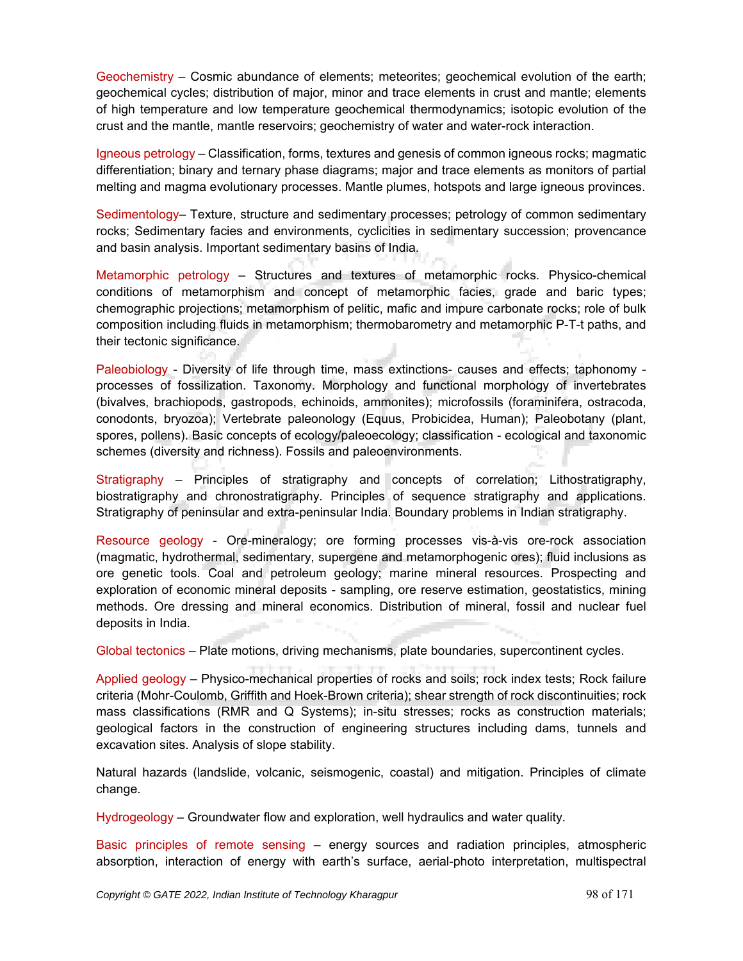Geochemistry – Cosmic abundance of elements; meteorites; geochemical evolution of the earth; geochemical cycles; distribution of major, minor and trace elements in crust and mantle; elements of high temperature and low temperature geochemical thermodynamics; isotopic evolution of the crust and the mantle, mantle reservoirs; geochemistry of water and water-rock interaction.

Igneous petrology – Classification, forms, textures and genesis of common igneous rocks; magmatic differentiation; binary and ternary phase diagrams; major and trace elements as monitors of partial melting and magma evolutionary processes. Mantle plumes, hotspots and large igneous provinces.

Sedimentology– Texture, structure and sedimentary processes; petrology of common sedimentary rocks; Sedimentary facies and environments, cyclicities in sedimentary succession; provencance and basin analysis. Important sedimentary basins of India.

Metamorphic petrology – Structures and textures of metamorphic rocks. Physico-chemical conditions of metamorphism and concept of metamorphic facies, grade and baric types; chemographic projections; metamorphism of pelitic, mafic and impure carbonate rocks; role of bulk composition including fluids in metamorphism; thermobarometry and metamorphic P-T-t paths, and their tectonic significance.

Paleobiology - Diversity of life through time, mass extinctions- causes and effects; taphonomy processes of fossilization. Taxonomy. Morphology and functional morphology of invertebrates (bivalves, brachiopods, gastropods, echinoids, ammonites); microfossils (foraminifera, ostracoda, conodonts, bryozoa); Vertebrate paleonology (Equus, Probicidea, Human); Paleobotany (plant, spores, pollens). Basic concepts of ecology/paleoecology; classification - ecological and taxonomic schemes (diversity and richness). Fossils and paleoenvironments.

Stratigraphy – Principles of stratigraphy and concepts of correlation; Lithostratigraphy, biostratigraphy and chronostratigraphy. Principles of sequence stratigraphy and applications. Stratigraphy of peninsular and extra-peninsular India. Boundary problems in Indian stratigraphy.

Resource geology - Ore-mineralogy; ore forming processes vis-à-vis ore-rock association (magmatic, hydrothermal, sedimentary, supergene and metamorphogenic ores); fluid inclusions as ore genetic tools. Coal and petroleum geology; marine mineral resources. Prospecting and exploration of economic mineral deposits - sampling, ore reserve estimation, geostatistics, mining methods. Ore dressing and mineral economics. Distribution of mineral, fossil and nuclear fuel deposits in India.

Global tectonics – Plate motions, driving mechanisms, plate boundaries, supercontinent cycles.

Applied geology – Physico-mechanical properties of rocks and soils; rock index tests; Rock failure criteria (Mohr-Coulomb, Griffith and Hoek-Brown criteria); shear strength of rock discontinuities; rock mass classifications (RMR and Q Systems); in-situ stresses; rocks as construction materials; geological factors in the construction of engineering structures including dams, tunnels and excavation sites. Analysis of slope stability.

Natural hazards (landslide, volcanic, seismogenic, coastal) and mitigation. Principles of climate change.

Hydrogeology – Groundwater flow and exploration, well hydraulics and water quality.

Basic principles of remote sensing – energy sources and radiation principles, atmospheric absorption, interaction of energy with earth's surface, aerial-photo interpretation, multispectral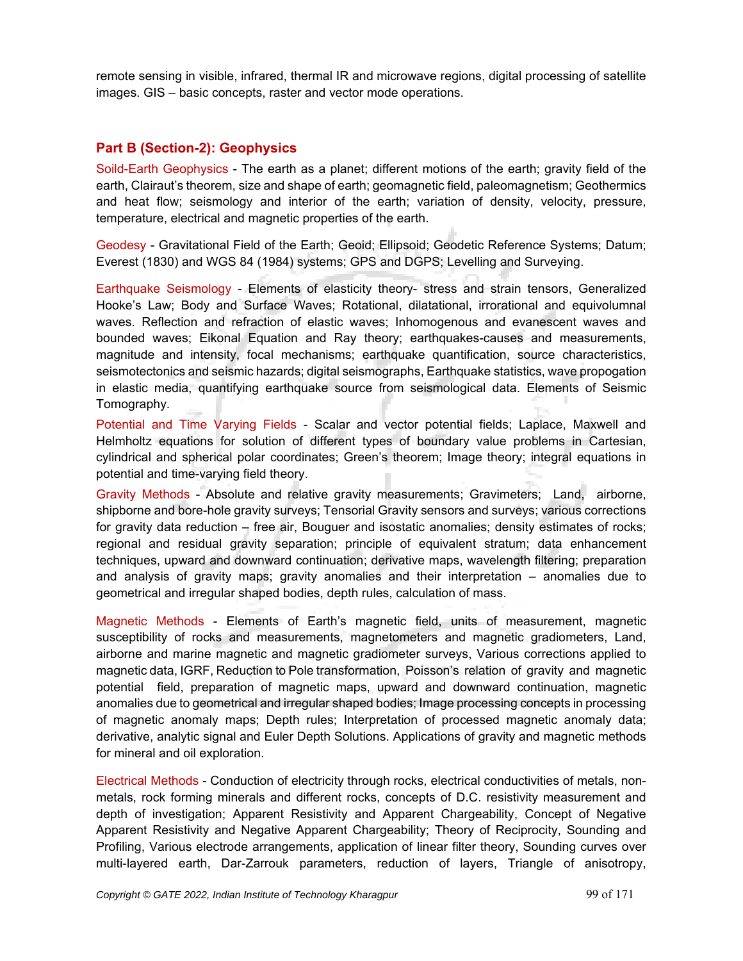remote sensing in visible, infrared, thermal IR and microwave regions, digital processing of satellite images. GIS – basic concepts, raster and vector mode operations.

## **Part B (Section-2): Geophysics**

Soild-Earth Geophysics - The earth as a planet; different motions of the earth; gravity field of the earth, Clairaut's theorem, size and shape of earth; geomagnetic field, paleomagnetism; Geothermics and heat flow; seismology and interior of the earth; variation of density, velocity, pressure, temperature, electrical and magnetic properties of the earth.

Geodesy - Gravitational Field of the Earth; Geoid; Ellipsoid; Geodetic Reference Systems; Datum; Everest (1830) and WGS 84 (1984) systems; GPS and DGPS; Levelling and Surveying.

Earthquake Seismology - Elements of elasticity theory- stress and strain tensors, Generalized Hooke's Law; Body and Surface Waves; Rotational, dilatational, irrorational and equivolumnal waves. Reflection and refraction of elastic waves; Inhomogenous and evanescent waves and bounded waves; Eikonal Equation and Ray theory; earthquakes-causes and measurements, magnitude and intensity, focal mechanisms; earthquake quantification, source characteristics, seismotectonics and seismic hazards; digital seismographs, Earthquake statistics, wave propogation in elastic media, quantifying earthquake source from seismological data. Elements of Seismic Tomography.

Potential and Time Varying Fields - Scalar and vector potential fields; Laplace, Maxwell and Helmholtz equations for solution of different types of boundary value problems in Cartesian, cylindrical and spherical polar coordinates; Green's theorem; Image theory; integral equations in potential and time-varying field theory.

Gravity Methods - Absolute and relative gravity measurements; Gravimeters; Land, airborne, shipborne and bore-hole gravity surveys; Tensorial Gravity sensors and surveys; various corrections for gravity data reduction – free air, Bouguer and isostatic anomalies; density estimates of rocks; regional and residual gravity separation; principle of equivalent stratum; data enhancement techniques, upward and downward continuation; derivative maps, wavelength filtering; preparation and analysis of gravity maps; gravity anomalies and their interpretation – anomalies due to geometrical and irregular shaped bodies, depth rules, calculation of mass.

Magnetic Methods - Elements of Earth's magnetic field, units of measurement, magnetic susceptibility of rocks and measurements, magnetometers and magnetic gradiometers, Land, airborne and marine magnetic and magnetic gradiometer surveys, Various corrections applied to magnetic data, IGRF, Reduction to Pole transformation, Poisson's relation of gravity and magnetic potential field, preparation of magnetic maps, upward and downward continuation, magnetic anomalies due to geometrical and irregular shaped bodies; Image processing concepts in processing of magnetic anomaly maps; Depth rules; Interpretation of processed magnetic anomaly data; derivative, analytic signal and Euler Depth Solutions. Applications of gravity and magnetic methods for mineral and oil exploration.

Electrical Methods - Conduction of electricity through rocks, electrical conductivities of metals, nonmetals, rock forming minerals and different rocks, concepts of D.C. resistivity measurement and depth of investigation; Apparent Resistivity and Apparent Chargeability, Concept of Negative Apparent Resistivity and Negative Apparent Chargeability; Theory of Reciprocity, Sounding and Profiling, Various electrode arrangements, application of linear filter theory, Sounding curves over multi-layered earth, Dar-Zarrouk parameters, reduction of layers, Triangle of anisotropy,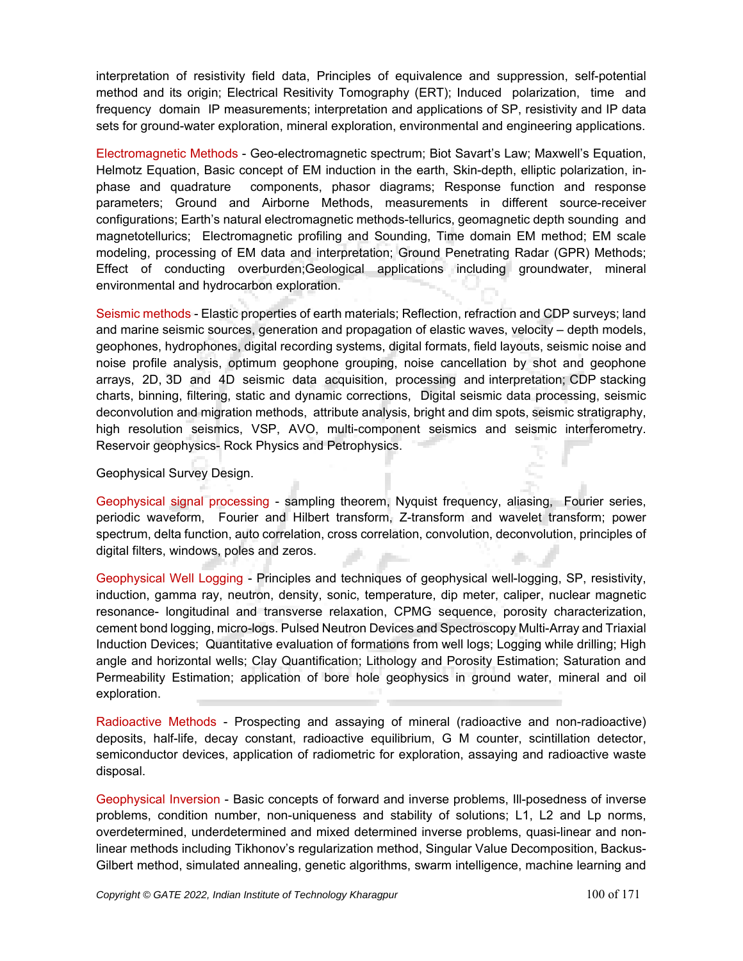interpretation of resistivity field data, Principles of equivalence and suppression, self-potential method and its origin; Electrical Resitivity Tomography (ERT); Induced polarization, time and frequency domain IP measurements; interpretation and applications of SP, resistivity and IP data sets for ground-water exploration, mineral exploration, environmental and engineering applications.

Electromagnetic Methods - Geo-electromagnetic spectrum; Biot Savart's Law; Maxwell's Equation, Helmotz Equation, Basic concept of EM induction in the earth, Skin-depth, elliptic polarization, inphase and quadrature components, phasor diagrams; Response function and response parameters; Ground and Airborne Methods, measurements in different source-receiver configurations; Earth's natural electromagnetic methods-tellurics, geomagnetic depth sounding and magnetotellurics; Electromagnetic profiling and Sounding, Time domain EM method; EM scale modeling, processing of EM data and interpretation; Ground Penetrating Radar (GPR) Methods; Effect of conducting overburden;Geological applications including groundwater, mineral environmental and hydrocarbon exploration.

Seismic methods - Elastic properties of earth materials; Reflection, refraction and CDP surveys; land and marine seismic sources, generation and propagation of elastic waves, velocity – depth models, geophones, hydrophones, digital recording systems, digital formats, field layouts, seismic noise and noise profile analysis, optimum geophone grouping, noise cancellation by shot and geophone arrays, 2D, 3D and 4D seismic data acquisition, processing and interpretation; CDP stacking charts, binning, filtering, static and dynamic corrections, Digital seismic data processing, seismic deconvolution and migration methods, attribute analysis, bright and dim spots, seismic stratigraphy, high resolution seismics, VSP, AVO, multi-component seismics and seismic interferometry. Reservoir geophysics- Rock Physics and Petrophysics.

Geophysical Survey Design.

Geophysical signal processing - sampling theorem, Nyquist frequency, aliasing, Fourier series, periodic waveform, Fourier and Hilbert transform, Z-transform and wavelet transform; power spectrum, delta function, auto correlation, cross correlation, convolution, deconvolution, principles of digital filters, windows, poles and zeros.

Geophysical Well Logging - Principles and techniques of geophysical well-logging, SP, resistivity, induction, gamma ray, neutron, density, sonic, temperature, dip meter, caliper, nuclear magnetic resonance- longitudinal and transverse relaxation, CPMG sequence, porosity characterization, cement bond logging, micro-logs. Pulsed Neutron Devices and Spectroscopy Multi-Array and Triaxial Induction Devices; Quantitative evaluation of formations from well logs; Logging while drilling; High angle and horizontal wells; Clay Quantification; Lithology and Porosity Estimation; Saturation and Permeability Estimation; application of bore hole geophysics in ground water, mineral and oil exploration.

Radioactive Methods - Prospecting and assaying of mineral (radioactive and non-radioactive) deposits, half-life, decay constant, radioactive equilibrium, G M counter, scintillation detector, semiconductor devices, application of radiometric for exploration, assaying and radioactive waste disposal.

Geophysical Inversion - Basic concepts of forward and inverse problems, Ill-posedness of inverse problems, condition number, non-uniqueness and stability of solutions; L1, L2 and Lp norms, overdetermined, underdetermined and mixed determined inverse problems, quasi-linear and nonlinear methods including Tikhonov's regularization method, Singular Value Decomposition, Backus-Gilbert method, simulated annealing, genetic algorithms, swarm intelligence, machine learning and